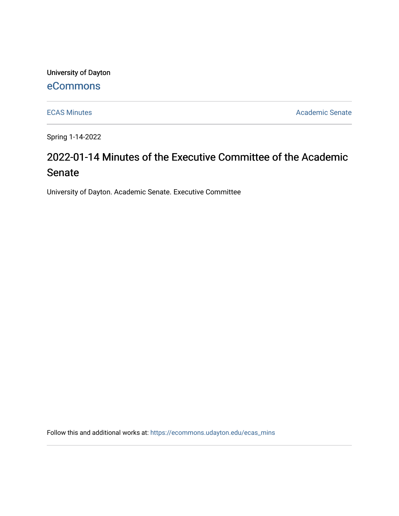University of Dayton

# [eCommons](https://ecommons.udayton.edu/)

[ECAS Minutes](https://ecommons.udayton.edu/ecas_mins) **Academic Senate** 

Spring 1-14-2022

# 2022-01-14 Minutes of the Executive Committee of the Academic Senate

University of Dayton. Academic Senate. Executive Committee

Follow this and additional works at: [https://ecommons.udayton.edu/ecas\\_mins](https://ecommons.udayton.edu/ecas_mins?utm_source=ecommons.udayton.edu%2Fecas_mins%2F545&utm_medium=PDF&utm_campaign=PDFCoverPages)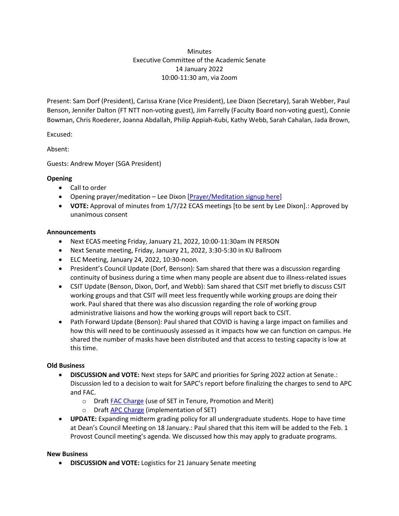# **Minutes** Executive Committee of the Academic Senate 14 January 2022 10:00-11:30 am, via Zoom

Present: Sam Dorf (President), Carissa Krane (Vice President), Lee Dixon (Secretary), Sarah Webber, Paul Benson, Jennifer Dalton (FT NTT non-voting guest), Jim Farrelly (Faculty Board non-voting guest), Connie Bowman, Chris Roederer, Joanna Abdallah, Philip Appiah-Kubi, Kathy Webb, Sarah Cahalan, Jada Brown,

Excused:

Absent:

Guests: Andrew Moyer (SGA President)

#### **Opening**

- Call to order
- Opening prayer/meditation Lee Dixon [\[Prayer/Meditation signup here\]](https://docs.google.com/document/d/1Say8mwTU7gLV_4XTtxgnfhOrTL-r7Z3r/edit?usp=sharing&ouid=114374222774523335638&rtpof=true&sd=true)
- **VOTE:** Approval of minutes from 1/7/22 ECAS meetings [to be sent by Lee Dixon].: Approved by unanimous consent

#### **Announcements**

- Next ECAS meeting Friday, January 21, 2022, 10:00-11:30am IN PERSON
- Next Senate meeting, Friday, January 21, 2022, 3:30-5:30 in KU Ballroom
- ELC Meeting, January 24, 2022, 10:30-noon.
- President's Council Update (Dorf, Benson): Sam shared that there was a discussion regarding continuity of business during a time when many people are absent due to illness-related issues
- CSIT Update (Benson, Dixon, Dorf, and Webb): Sam shared that CSIT met briefly to discuss CSIT working groups and that CSIT will meet less frequently while working groups are doing their work. Paul shared that there was also discussion regarding the role of working group administrative liaisons and how the working groups will report back to CSIT.
- Path Forward Update (Benson): Paul shared that COVID is having a large impact on families and how this will need to be continuously assessed as it impacts how we can function on campus. He shared the number of masks have been distributed and that access to testing capacity is low at this time.

# **Old Business**

- **DISCUSSION and VOTE:** Next steps for SAPC and priorities for Spring 2022 action at Senate.: Discussion led to a decision to wait for SAPC's report before finalizing the charges to send to APC and FAC.
	- o Draf[t FAC Charge](https://docs.google.com/document/d/1PzGQu7-xyTrK8TsjKdLmCeKxVWh3bEQXt3vtuS0dVGY/edit?usp=sharing) (use of SET in Tenure, Promotion and Merit)
	- o Draf[t APC Charge](https://docs.google.com/document/d/1bxZWtPFrGLX7lWEvgpc0avTWRR8xPTLjvQLwT1RqsXw/edit?usp=sharing) (implementation of SET)
- **UPDATE:** Expanding midterm grading policy for all undergraduate students. Hope to have time at Dean's Council Meeting on 18 January.: Paul shared that this item will be added to the Feb. 1 Provost Council meeting's agenda. We discussed how this may apply to graduate programs.

#### **New Business**

**DISCUSSION and VOTE:** Logistics for 21 January Senate meeting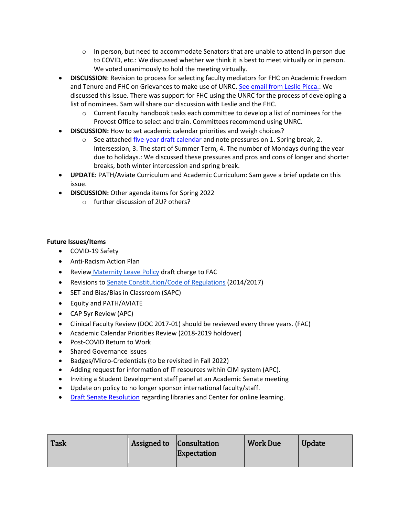- $\circ$  In person, but need to accommodate Senators that are unable to attend in person due to COVID, etc.: We discussed whether we think it is best to meet virtually or in person. We voted unanimously to hold the meeting virtually.
- **DISCUSSION**: Revision to process for selecting faculty mediators for FHC on Academic Freedom and Tenure and FHC on Grievances to make use of UNRC. [See email from Leslie Picca.:](https://drive.google.com/file/d/1HVGCGqxwFRnycDalBjlox04npWgWGL15/view?usp=sharing) We discussed this issue. There was support for FHC using the UNRC for the process of developing a list of nominees. Sam will share our discussion with Leslie and the FHC.
	- $\circ$  Current Faculty handbook tasks each committee to develop a list of nominees for the Provost Office to select and train. Committees recommend using UNRC.
- **DISCUSSION:** How to set academic calendar priorities and weigh choices?
	- o See attached *five-year draft calendar* and note pressures on 1. Spring break, 2. Intersession, 3. The start of Summer Term, 4. The number of Mondays during the year due to holidays.: We discussed these pressures and pros and cons of longer and shorter breaks, both winter intercession and spring break.
- **UPDATE:** PATH/Aviate Curriculum and Academic Curriculum: Sam gave a brief update on this issue.
- **DISCUSSION:** Other agenda items for Spring 2022
	- o further discussion of 2U? others?

# **Future Issues/Items**

- COVID-19 Safety
- Anti-Racism Action Plan
- **Review [Maternity Leave Policy](https://ecommons.udayton.edu/cgi/viewcontent.cgi?article=1038&context=senate_docs) draft charge to FAC**
- Revisions to [Senate Constitution/Code of Regulations](https://drive.google.com/file/d/1FE4HIp5nKgfgFEpzkthtUeF-u_54WgeA/view?usp=sharing) (2014/2017)
- SET and Bias/Bias in Classroom (SAPC)
- Equity and PATH/AVIATE
- CAP 5yr Review (APC)
- Clinical Faculty Review (DOC 2017-01) should be reviewed every three years. (FAC)
- Academic Calendar Priorities Review (2018-2019 holdover)
- Post-COVID Return to Work
- **•** Shared Governance Issues
- Badges/Micro-Credentials (to be revisited in Fall 2022)
- Adding request for information of IT resources within CIM system (APC).
- Inviting a Student Development staff panel at an Academic Senate meeting
- Update on policy to no longer sponsor international faculty/staff.
- **[Draft Senate](https://docs.google.com/document/d/1xjJPkvF1RwPx6ox_v4-haphE0rYF4g6j/edit?usp=sharing&ouid=114374222774523335638&rtpof=true&sd=true) Resolution regarding libraries and Center for online learning.**

| <b>Task</b> | Assigned to Consultation | <b>Expectation</b> | <b>Work Due</b> | <b>Update</b> |
|-------------|--------------------------|--------------------|-----------------|---------------|
|             |                          |                    |                 |               |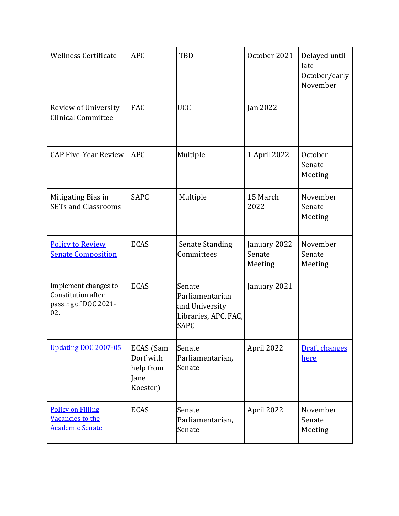| <b>Wellness Certificate</b>                                               | <b>APC</b>                                              | <b>TBD</b>                                                                         | October 2021                      | Delayed until<br>late<br>October/early<br>November |
|---------------------------------------------------------------------------|---------------------------------------------------------|------------------------------------------------------------------------------------|-----------------------------------|----------------------------------------------------|
| Review of University<br><b>Clinical Committee</b>                         | <b>FAC</b>                                              | <b>UCC</b>                                                                         | Jan 2022                          |                                                    |
| <b>CAP Five-Year Review</b>                                               | <b>APC</b>                                              | Multiple                                                                           | 1 April 2022                      | October<br>Senate<br>Meeting                       |
| Mitigating Bias in<br><b>SETs and Classrooms</b>                          | <b>SAPC</b>                                             | Multiple                                                                           | 15 March<br>2022                  | November<br>Senate<br>Meeting                      |
| <b>Policy to Review</b><br><b>Senate Composition</b>                      | <b>ECAS</b>                                             | <b>Senate Standing</b><br>Committees                                               | January 2022<br>Senate<br>Meeting | November<br>Senate<br>Meeting                      |
| Implement changes to<br>Constitution after<br>passing of DOC 2021-<br>02. | <b>ECAS</b>                                             | Senate<br>Parliamentarian<br>and University<br>Libraries, APC, FAC,<br><b>SAPC</b> | January 2021                      |                                                    |
| <b>Updating DOC 2007-05</b>                                               | ECAS (Sam<br>Dorf with<br>help from<br>Jane<br>Koester) | Senate<br>Parliamentarian,<br>Senate                                               | April 2022                        | <b>Draft changes</b><br>here                       |
| <b>Policy on Filling</b><br>Vacancies to the<br><b>Academic Senate</b>    | <b>ECAS</b>                                             | Senate<br>Parliamentarian,<br>Senate                                               | April 2022                        | November<br>Senate<br>Meeting                      |